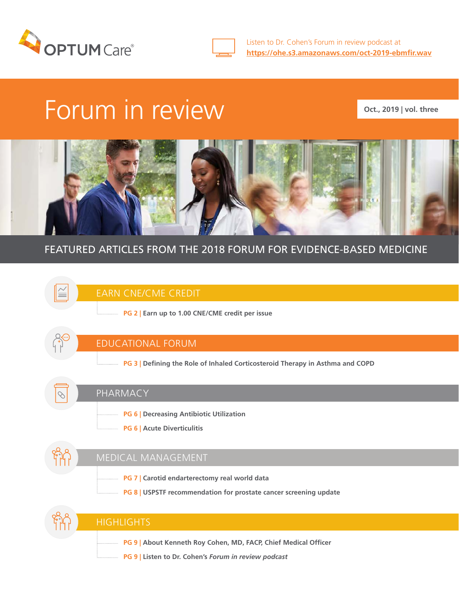



# Forum in review

**Oct., 2019 | vol. three**



### FEATURED ARTICLES FROM THE 2018 FORUM FOR EVIDENCE-BASED MEDICINE



**PG 9 | Listen to Dr. Cohen's** *Forum in review podcast*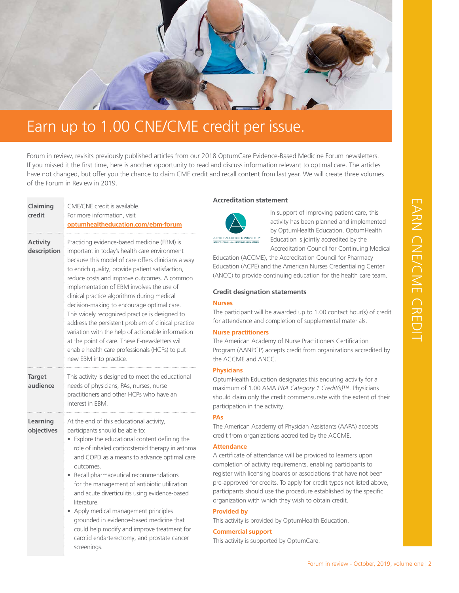

### Earn up to 1.00 CNE/CME credit per issue.

Forum in review, revisits previously published articles from our 2018 OptumCare Evidence-Based Medicine Forum newsletters. If you missed it the first time, here is another opportunity to read and discuss information relevant to optimal care. The articles have not changed, but offer you the chance to claim CME credit and recall content from last year. We will create three volumes of the Forum in Review in 2019.

| Claiming<br>credit             | CME/CNE credit is available.<br>For more information, visit<br>optumhealtheducation.com/ebm-forum                                                                                                                                                                                                                                                                                                                                                                                                                                                                                                                                                                                          |                                                                                                                                                                                                                                                                                                                                  |
|--------------------------------|--------------------------------------------------------------------------------------------------------------------------------------------------------------------------------------------------------------------------------------------------------------------------------------------------------------------------------------------------------------------------------------------------------------------------------------------------------------------------------------------------------------------------------------------------------------------------------------------------------------------------------------------------------------------------------------------|----------------------------------------------------------------------------------------------------------------------------------------------------------------------------------------------------------------------------------------------------------------------------------------------------------------------------------|
| <b>Activity</b><br>description | Practicing evidence-based medicine (EBM) is<br>important in today's health care environment<br>because this model of care offers clinicians a way<br>to enrich quality, provide patient satisfaction,<br>reduce costs and improve outcomes. A common<br>implementation of EBM involves the use of<br>clinical practice algorithms during medical<br>decision-making to encourage optimal care.<br>This widely recognized practice is designed to<br>address the persistent problem of clinical practice<br>variation with the help of actionable information<br>at the point of care. These E-newsletters will<br>enable health care professionals (HCPs) to put<br>new EBM into practice. | JOINTLY ACCREDITED<br>Education (A<br>Education (A<br>(ANCC) to pr<br>Credit desi<br><b>Nurses</b><br>The participa<br>for attendan<br><b>Nurse pract</b><br>The America<br>Program (AA<br>the ACCME                                                                                                                             |
| <b>Target</b><br>audience      | This activity is designed to meet the educational<br>needs of physicians, PAs, nurses, nurse<br>practitioners and other HCPs who have an<br>interest in FBM                                                                                                                                                                                                                                                                                                                                                                                                                                                                                                                                | <b>Physicians</b><br>OptumHealtl<br>maximum of<br>should claim<br>participation<br><b>PAs</b><br>The America<br>credit from c<br><b>Attendance</b><br>A certificate<br>completion o<br>register with<br>pre-approved<br>participants s<br>organization<br>Provided by<br>This activity i<br><b>Commercial</b><br>This activity i |
| Learning<br>objectives         | At the end of this educational activity,<br>participants should be able to:<br>Explore the educational content defining the<br>role of inhaled corticosteroid therapy in asthma<br>and COPD as a means to advance optimal care<br>outcomes.<br>Recall pharmaceutical recommendations<br>for the management of antibiotic utilization<br>and acute diverticulitis using evidence-based<br>literature.<br>Apply medical management principles<br>grounded in evidence-based medicine that<br>could help modify and improve treatment for<br>carotid endarterectomy, and prostate cancer<br>screenings.                                                                                       |                                                                                                                                                                                                                                                                                                                                  |

**Service Control** 

#### **Accreditation statement**



In support of improving patient care, this activity has been planned and implemented by OptumHealth Education. OptumHealth Education is jointly accredited by the Accreditation Council for Continuing Medical

GCME), the Accreditation Council for Pharmacy (CPE) and the American Nurses Credentialing Center rovide continuing education for the health care team.

#### **Credit designation statements**

ant will be awarded up to 1.00 contact hour(s) of credit ce and completion of supplemental materials.

#### **Nurge products**

In Academy of Nurse Practitioners Certification ANPCP) accepts credit from organizations accredited by and ANCC.

h Education designates this enduring activity for a 1.00 AMA PRA Category 1 Credit(s)™. Physicians only the credit commensurate with the extent of their in the activity.

In Academy of Physician Assistants (AAPA) accepts prganizations accredited by the ACCME.

#### **Attendance**

of attendance will be provided to learners upon of activity requirements, enabling participants to licensing boards or associations that have not been d for credits. To apply for credit types not listed above, should use the procedure established by the specific with which they wish to obtain credit.

#### **Provided by**

is provided by OptumHealth Education.

#### support

is supported by OptumCare.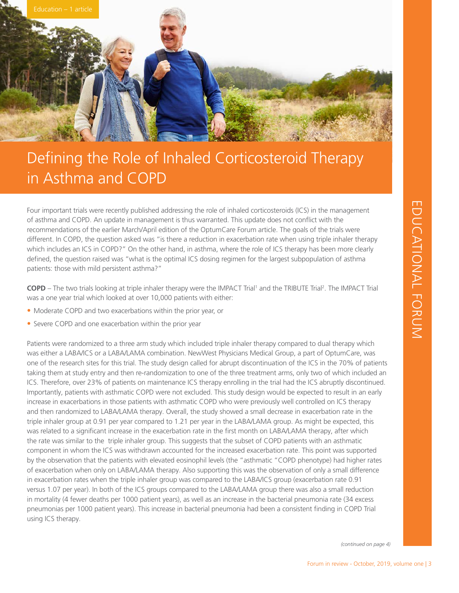

# Defining the Role of Inhaled Corticosteroid Therapy in Asthma and COPD

Four important trials were recently published addressing the role of inhaled corticosteroids (ICS) in the management of asthma and COPD. An update in management is thus warranted. This update does not conflict with the recommendations of the earlier March/April edition of the OptumCare Forum article. The goals of the trials were different. In COPD, the question asked was "is there a reduction in exacerbation rate when using triple inhaler therapy which includes an ICS in COPD?" On the other hand, in asthma, where the role of ICS therapy has been more clearly defined, the question raised was "what is the optimal ICS dosing regimen for the largest subpopulation of asthma patients: those with mild persistent asthma?"

**COPD** – The two trials looking at triple inhaler therapy were the IMPACT Trial<sup>1</sup> and the TRIBUTE Trial<sup>2</sup>. The IMPACT Trial was a one year trial which looked at over 10,000 patients with either:

- Moderate COPD and two exacerbations within the prior year, or
- Severe COPD and one exacerbation within the prior year

Patients were randomized to a three arm study which included triple inhaler therapy compared to dual therapy which was either a LABA/ICS or a LABA/LAMA combination. NewWest Physicians Medical Group, a part of OptumCare, was one of the research sites for this trial. The study design called for abrupt discontinuation of the ICS in the 70% of patients taking them at study entry and then re-randomization to one of the three treatment arms, only two of which included an ICS. Therefore, over 23% of patients on maintenance ICS therapy enrolling in the trial had the ICS abruptly discontinued. Importantly, patients with asthmatic COPD were not excluded. This study design would be expected to result in an early increase in exacerbations in those patients with asthmatic COPD who were previously well controlled on ICS therapy and then randomized to LABA/LAMA therapy. Overall, the study showed a small decrease in exacerbation rate in the triple inhaler group at 0.91 per year compared to 1.21 per year in the LABA/LAMA group. As might be expected, this was related to a significant increase in the exacerbation rate in the first month on LABA/LAMA therapy, after which the rate was similar to the triple inhaler group. This suggests that the subset of COPD patients with an asthmatic component in whom the ICS was withdrawn accounted for the increased exacerbation rate. This point was supported by the observation that the patients with elevated eosinophil levels (the "asthmatic "COPD phenotype) had higher rates of exacerbation when only on LABA/LAMA therapy. Also supporting this was the observation of only a small difference in exacerbation rates when the triple inhaler group was compared to the LABA/ICS group (exacerbation rate 0.91 versus 1.07 per year). In both of the ICS groups compared to the LABA/LAMA group there was also a small reduction in mortality (4 fewer deaths per 1000 patient years), as well as an increase in the bacterial pneumonia rate (34 excess pneumonias per 1000 patient years). This increase in bacterial pneumonia had been a consistent finding in COPD Trial using ICS therapy.

*(continued on page 4)*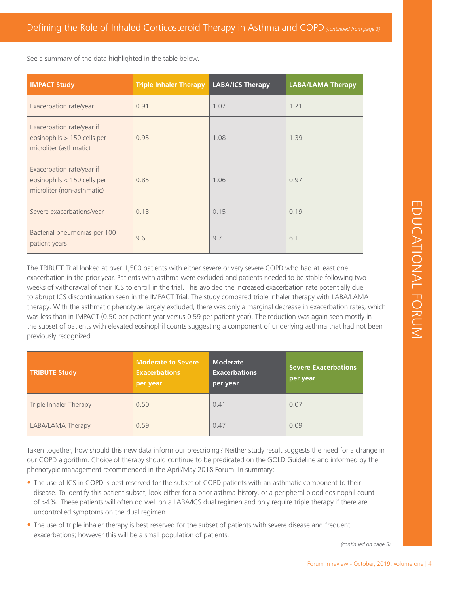See a summary of the data highlighted in the table below.

| <b>IMPACT Study</b>                                                                    | <b>Triple Inhaler Therapy</b> | <b>LABA/ICS Therapy</b> | <b>LABA/LAMA Therapy</b> |
|----------------------------------------------------------------------------------------|-------------------------------|-------------------------|--------------------------|
| Exacerbation rate/year                                                                 | 0.91                          | 1.07                    | 1.21                     |
| Exacerbation rate/year if<br>eosinophils > 150 cells per<br>microliter (asthmatic)     | 0.95                          | 1.08                    | 1.39                     |
| Exacerbation rate/year if<br>eosinophils < 150 cells per<br>microliter (non-asthmatic) | 0.85                          | 1.06                    | 0.97                     |
| Severe exacerbations/year                                                              | 0.13                          | 0.15                    | 0.19                     |
| Bacterial pneumonias per 100<br>patient years                                          | 9.6                           | 9.7                     | 6.1                      |

Forum in review - October, 2019, volume one | 4<br>
Forum in review - October, 2019, volume one | 4<br>
Forum in review - October, 2019, volume one | 4<br>
Forum in review - October, 2019, volume one | 4<br>
Forum in review - October, The TRIBUTE Trial looked at over 1,500 patients with either severe or very severe COPD who had at least one exacerbation in the prior year. Patients with asthma were excluded and patients needed to be stable following two weeks of withdrawal of their ICS to enroll in the trial. This avoided the increased exacerbation rate potentially due to abrupt ICS discontinuation seen in the IMPACT Trial. The study compared triple inhaler therapy with LABA/LAMA therapy. With the asthmatic phenotype largely excluded, there was only a marginal decrease in exacerbation rates, which was less than in IMPACT (0.50 per patient year versus 0.59 per patient year). The reduction was again seen mostly in the subset of patients with elevated eosinophil counts suggesting a component of underlying asthma that had not been previously recognized.

| <b>TRIBUTE Study</b>   | <b>Moderate to Severe</b><br><b>Exacerbations</b><br>per year | <b>Moderate</b><br><b>Exacerbations</b><br>per year | <b>Severe Exacerbations</b><br>per year |
|------------------------|---------------------------------------------------------------|-----------------------------------------------------|-----------------------------------------|
| Triple Inhaler Therapy | 0.50                                                          | 0.41                                                | 0.07                                    |
| LABA/LAMA Therapy      | 0.59                                                          | 0.47                                                | 0.09                                    |

Taken together, how should this new data inform our prescribing? Neither study result suggests the need for a change in our COPD algorithm. Choice of therapy should continue to be predicated on the GOLD Guideline and informed by the phenotypic management recommended in the April/May 2018 Forum. In summary:

- The use of ICS in COPD is best reserved for the subset of COPD patients with an asthmatic component to their disease. To identify this patient subset, look either for a prior asthma history, or a peripheral blood eosinophil count of >4%. These patients will often do well on a LABA/ICS dual regimen and only require triple therapy if there are uncontrolled symptoms on the dual regimen.
- The use of triple inhaler therapy is best reserved for the subset of patients with severe disease and frequent exacerbations; however this will be a small population of patients.

*(continued on page 5)*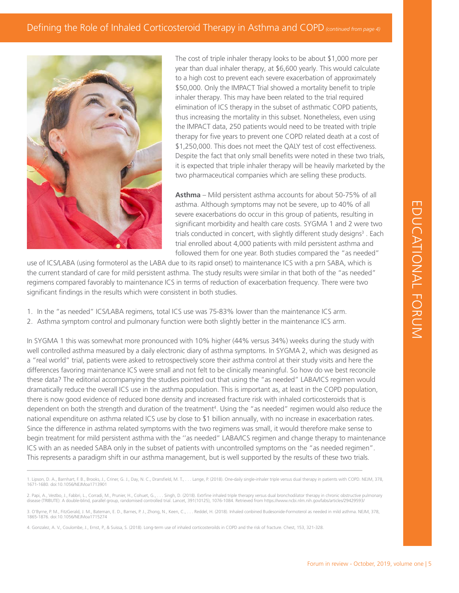

The cost of triple inhaler therapy looks to be about \$1,000 more per year than dual inhaler therapy, at \$6,600 yearly. This would calculate to a high cost to prevent each severe exacerbation of approximately \$50,000. Only the IMPACT Trial showed a mortality benefit to triple inhaler therapy. This may have been related to the trial required elimination of ICS therapy in the subset of asthmatic COPD patients, thus increasing the mortality in this subset. Nonetheless, even using the IMPACT data, 250 patients would need to be treated with triple therapy for five years to prevent one COPD related death at a cost of \$1,250,000. This does not meet the QALY test of cost effectiveness. Despite the fact that only small benefits were noted in these two trials, it is expected that triple inhaler therapy will be heavily marketed by the two pharmaceutical companies which are selling these products.

**Asthma** – Mild persistent asthma accounts for about 50-75% of all asthma. Although symptoms may not be severe, up to 40% of all severe exacerbations do occur in this group of patients, resulting in significant morbidity and health care costs. SYGMA 1 and 2 were two trials conducted in concert, with slightly different study designs<sup>3</sup>. Each trial enrolled about 4,000 patients with mild persistent asthma and followed them for one year. Both studies compared the "as needed"

use of ICS/LABA (using formoterol as the LABA due to its rapid onset) to maintenance ICS with a prn SABA, which is the current standard of care for mild persistent asthma. The study results were similar in that both of the "as needed" regimens compared favorably to maintenance ICS in terms of reduction of exacerbation frequency. There were two significant findings in the results which were consistent in both studies.

- 1. In the "as needed" ICS/LABA regimens, total ICS use was 75-83% lower than the maintenance ICS arm.
- 2. Asthma symptom control and pulmonary function were both slightly better in the maintenance ICS arm.

For expression of the Mand 2 are the MGMA 1 and 2 are the persistent as than and paparel the "as needed" as a persistent as than and paparel the "as needed" as a persistent as than and paparel the "as needed" are as needed In SYGMA 1 this was somewhat more pronounced with 10% higher (44% versus 34%) weeks during the study with well controlled asthma measured by a daily electronic diary of asthma symptoms. In SYGMA 2, which was designed as a "real world" trial, patients were asked to retrospectively score their asthma control at their study visits and here the differences favoring maintenance ICS were small and not felt to be clinically meaningful. So how do we best reconcile these data? The editorial accompanying the studies pointed out that using the "as needed" LABA/ICS regimen would dramatically reduce the overall ICS use in the asthma population. This is important as, at least in the COPD population, there is now good evidence of reduced bone density and increased fracture risk with inhaled corticosteroids that is dependent on both the strength and duration of the treatment<sup>4</sup>. Using the "as needed" regimen would also reduce the national expenditure on asthma related ICS use by close to \$1 billion annually, with no increase in exacerbation rates. Since the difference in asthma related symptoms with the two regimens was small, it would therefore make sense to begin treatment for mild persistent asthma with the ''as needed" LABA/ICS regimen and change therapy to maintenance ICS with an as needed SABA only in the subset of patients with uncontrolled symptoms on the "as needed regimen". This represents a paradigm shift in our asthma management, but is well supported by the results of these two trials.

\_\_\_\_\_\_\_\_\_\_\_\_\_\_\_\_\_\_\_\_\_\_\_\_\_\_\_\_\_\_\_\_\_\_\_\_\_\_\_\_\_\_\_\_\_\_\_\_\_\_\_\_\_\_\_\_\_\_\_\_\_\_\_\_\_\_\_\_\_\_\_\_\_\_\_\_\_\_\_\_\_\_\_

<sup>1.</sup> Lipson, D. A., Barnhart, F. B., Brooks, J., Criner, G. J., Day, N. C., Dransfield, M. T., . . . Lange, P. (2018). One-daily single-inhaler triple versus dual therapy in patients with COPD. NEJM, 378, 1671-1680. doi:10.1056/NEJMoa1713901

<sup>2.</sup> Papi, A., Vestbo, J., Fabbri, L., Corradi, M., Prunier, H., Cohuet, G., . . . Singh, D. (2018). Extrfine inhaled triple therapry versus dual bronchodilator therapy in chronic obstructive pulmonary disease (TRIBUTE): A double-blind, parallel group, randomised controlled trial. Lancet, 391(10125), 1076-1084. Retrieved from https://www.ncbi.nlm.nih.gov/labs/articles/29429593/

<sup>3.</sup> O'Byrne, P. M., FitzGerald, J. M., Bateman, E. D., Barnes, P. J., Zhong, N., Keen, C., . . . Reddel, H. (2018). Inhaled conbined Budesonide-Formoterol as needed in mild asthma. NEJM, 378,<br>1865-1876. doi:10.1056/NEJMoa17

<sup>4.</sup> Gonzalez, A. V., Coulombe, J., Ernst, P., & Suissa, S. (2018). Long-term use of inhaled corticosteroilds in COPD and the risk of fracture. Chest, 153, 321-328.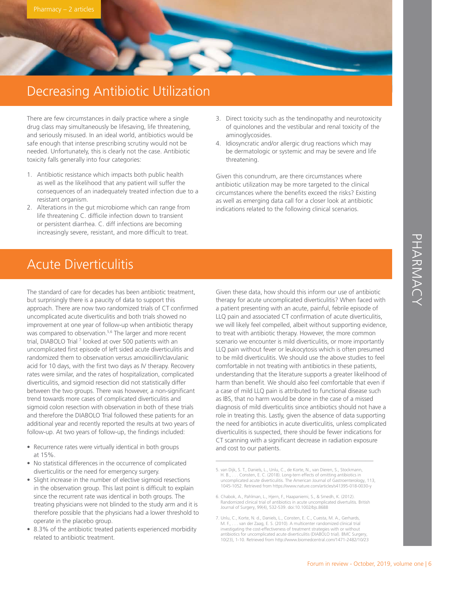## Decreasing Antibiotic Utilization

There are few circumstances in daily practice where a single drug class may simultaneously be lifesaving, life threatening, and seriously misused. In an ideal world, antibiotics would be safe enough that intense prescribing scrutiny would not be needed. Unfortunately, this is clearly not the case. Antibiotic toxicity falls generally into four categories:

- 1. Antibiotic resistance which impacts both public health as well as the likelihood that any patient will suffer the consequences of an inadequately treated infection due to a resistant organism.
- 2. Alterations in the gut microbiome which can range from life threatening C. difficile infection down to transient or persistent diarrhea. C. diff infections are becoming increasingly severe, resistant, and more difficult to treat.
- Acute Diverticulitis

The standard of care for decades has been antibiotic treatment, but surprisingly there is a paucity of data to support this approach. There are now two randomized trials of CT confirmed uncomplicated acute diverticulitis and both trials showed no improvement at one year of follow-up when antibiotic therapy was compared to observation.<sup>5,6</sup> The larger and more recent trial, DIABOLO Trial<sup>7</sup> looked at over 500 patients with an uncomplicated first episode of left sided acute diverticulitis and randomized them to observation versus amoxicillin/clavulanic acid for 10 days, with the first two days as IV therapy. Recovery rates were similar, and the rates of hospitalization, complicated diverticulitis, and sigmoid resection did not statistically differ between the two groups. There was however, a non-significant trend towards more cases of complicated diverticulitis and sigmoid colon resection with observation in both of these trials and therefore the DIABOLO Trial followed these patients for an additional year and recently reported the results at two years of follow-up. At two years of follow-up, the findings included:

- Recurrence rates were virtually identical in both groups at 15%.
- No statistical differences in the occurrence of complicated diverticulitis or the need for emergency surgery.
- Slight increase in the number of elective sigmoid resections in the observation group. This last point is difficult to explain since the recurrent rate was identical in both groups. The treating physicians were not blinded to the study arm and it is therefore possible that the physicians had a lower threshold to operate in the placebo group.
- 8.3% of the antibiotic treated patients experienced morbidity related to antibiotic treatment.
- 3. Direct toxicity such as the tendinopathy and neurotoxicity of quinolones and the vestibular and renal toxicity of the aminoglycosides.
- 4. Idiosyncratic and/or allergic drug reactions which may be dermatologic or systemic and may be severe and life threatening.

Given this conundrum, are there circumstances where antibiotic utilization may be more targeted to the clinical circumstances where the benefits exceed the risks? Existing as well as emerging data call for a closer look at antibiotic indications related to the following clinical scenarios.

THE INTERNATION OF SURFACT CONDUCT CONDUCT CONDUCT CONDUCT INTERNATION CONDUCT THE more common wise a prediction of acute diverticulitis, or where the more common<br>triculities, or more importantly once the above studies to Given these data, how should this inform our use of antibiotic therapy for acute uncomplicated diverticulitis? When faced with a patient presenting with an acute, painful, febrile episode of LLQ pain and associated CT confirmation of acute diverticulitis, we will likely feel compelled, albeit without supporting evidence, to treat with antibiotic therapy. However, the more common scenario we encounter is mild diverticulitis, or more importantly LLQ pain without fever or leukocytosis which is often presumed to be mild diverticulitis. We should use the above studies to feel comfortable in not treating with antibiotics in these patients, understanding that the literature supports a greater likelihood of harm than benefit. We should also feel comfortable that even if a case of mild LLQ pain is attributed to functional disease such as IBS, that no harm would be done in the case of a missed diagnosis of mild diverticulitis since antibiotics should not have a role in treating this. Lastly, given the absence of data supporting the need for antibiotics in acute diverticulitis, unless complicated diverticulitis is suspected, there should be fewer indications for CT scanning with a significant decrease in radiation exposure and cost to our patients.

5. van Dijk, S. T., Daniels, L., Unlu, C., de Korte, N., van Dieren, S., Stockmann, H. B., . . . Consten, E. C. (2018). Long-tern effects of omitting antibiotics in uncomplicated acute diverticulitis. The American Journal of Gastroenterology, 113, 1045-1052. Retrieved from https://www.nature.com/articles/s41395-018-0030-y

\_\_\_\_\_\_\_\_\_\_\_\_\_\_\_\_\_\_\_\_\_\_\_\_\_\_\_\_\_\_\_\_\_\_\_\_\_\_\_

- 6. Chabok, A., Pahlman, L., Hjern, F., Haapaniemi, S., & Smedh, K. (2012). Randomized clinical trial of antibiotics in acute uncomplicated divertulitis. British Journal of Surgery, 99(4), 532-539. doi:10.1002/bjs.8688
- 7. Unlu, C., Korte, N. d., Daniels, L., Consten, E. C., Cuesta, M. A., Gerhards, M. F., . . . van der Zaag, E. S. (2010). A multicenter randomized clinical trial investigating the cost-effectiveness of treatment strategies with or without ntibiotics for uncomplicated acute diverticulitis (DIABOLO trial). BMC Surg 10(23), 1-10. Retrieved from http://www.biomedcentral.com/1471-2482/10/23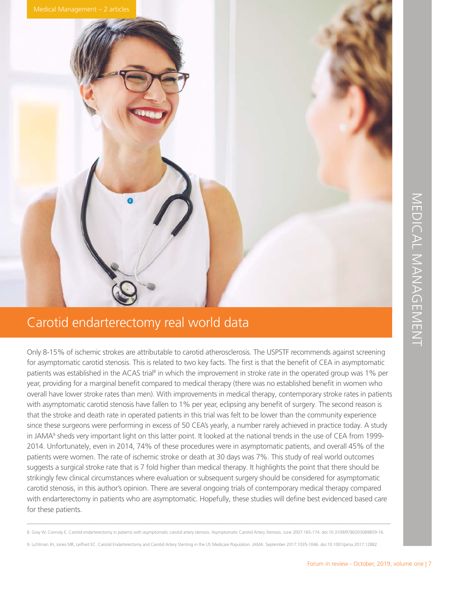

### Carotid endarterectomy real world data

FOR THE SURFAIRS AND MORE THE SURFAIRS AND MORE THAN A SURFAIRS AND MORE THAN A SURFAIRS (SPEED THANGEMENT CONTROLL) THE SECOND PROPORTION CONTROLL ON A SURFAIRS CONTROLL ON A SURFAIRS AND HEREAD ON A SURFAIRS (SPEED THAN Only 8-15% of ischemic strokes are attributable to carotid atherosclerosis. The USPSTF recommends against screening for asymptomatic carotid stenosis. This is related to two key facts. The first is that the benefit of CEA in asymptomatic patients was established in the ACAS trial<sup>8</sup> in which the improvement in stroke rate in the operated group was 1% per year, providing for a marginal benefit compared to medical therapy (there was no established benefit in women who overall have lower stroke rates than men). With improvements in medical therapy, contemporary stroke rates in patients with asymptomatic carotid stenosis have fallen to 1% per year, eclipsing any benefit of surgery. The second reason is that the stroke and death rate in operated patients in this trial was felt to be lower than the community experience since these surgeons were performing in excess of 50 CEA's yearly, a number rarely achieved in practice today. A study in JAMA<sup>9</sup> sheds very important light on this latter point. It looked at the national trends in the use of CEA from 1999-2014. Unfortunately, even in 2014, 74% of these procedures were in asymptomatic patients, and overall 45% of the patients were women. The rate of ischemic stroke or death at 30 days was 7%. This study of real world outcomes suggests a surgical stroke rate that is 7 fold higher than medical therapy. It highlights the point that there should be strikingly few clinical circumstances where evaluation or subsequent surgery should be considered for asymptomatic carotid stenosis, in this author's opinion. There are several ongoing trials of contemporary medical therapy compared with endarterectomy in patients who are asymptomatic. Hopefully, these studies will define best evidenced based care for these patients.

\_\_\_\_\_\_\_\_\_\_\_\_\_\_\_\_\_\_\_\_\_\_\_\_\_\_\_\_\_\_\_\_\_\_\_\_\_\_\_\_\_\_\_\_\_\_\_\_\_\_\_\_\_\_\_\_\_\_\_\_\_\_\_\_\_\_\_\_\_\_\_\_\_\_\_\_\_\_\_\_\_\_\_\_\_\_\_\_\_\_ 8. Gray W, Connoly E. Carotid endarterectomy in patients with asymptomatic carotid artery stenosis. Asymptomatic Carotid Artery Stenosis. June 2007:165-174. doi:10.3109/9780203089859-16.

9. Lichtman JH, Jones MR, Leifheit EC. Carotid Endarterectomy and Carotid Artery Stenting in the US Medicare Population. JAMA. September 2017:1035-1046. doi:10.1001/jama.2017.12882 .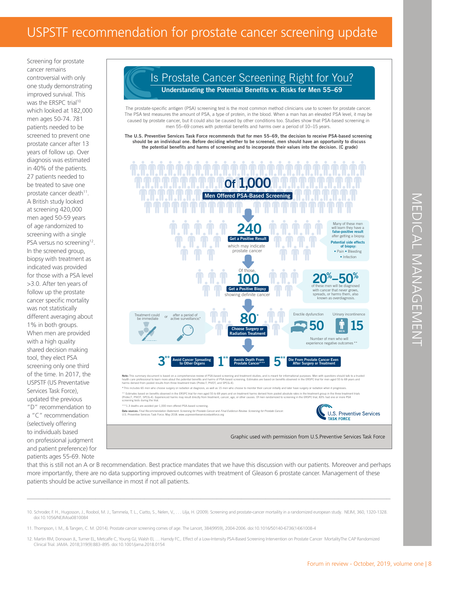Screening for prostate cancer remains controversial with only one study demonstrating improved survival. This was the ERSPC trial<sup>10</sup> which looked at 182,000 men ages 50-74. 781 patients needed to be screened to prevent one prostate cancer after 13 years of follow up. Over diagnosis was estimated in 40% of the patients. 27 patients needed to be treated to save one prostate cancer death<sup>11</sup>. A British study looked at screening 420,000 men aged 50-59 years of age randomized to screening with a single PSA versus no screening<sup>12</sup>. In the screened group, biopsy with treatment as indicated was provided for those with a PSA level >3.0. After ten years of follow up the prostate cancer specific mortality was not statistically different averaging about 1% in both groups. When men are provided with a high quality shared decision making tool, they elect PSA screening only one third of the time. In 2017, the USPSTF (US Preventative Services Task Force), updated the previous "D" recommendation to a "C" recommendation (selectively offering to individuals based on professional judgment and patient preference) for patients ages 55-69. Note

### Is Prostate Cancer Screening Right for You? **Understanding the Potential Benefits vs. Risks for Men 55–69**

The prostate-specific antigen (PSA) screening test is the most common method clinicians use to screen for prostate cancer. The PSA test measures the amount of PSA, a type of protein, in the blood. When a man has an elevated PSA level, it may be caused by prostate cancer, but it could also be caused by other conditions too. Studies show that PSA-based screening in men 55−69 comes with potential benefits and harms over a period of 10−15 years.

**The U.S. Preventive Services Task Force recommends that for men 55–69, the decision to receive PSA-based screening should be an individual one. Before deciding whether to be screened, men should have an opportunity to discuss the potential benefits and harms of screening and to incorporate their values into the decision. (C grade)**



that this is still not an A or B recommendation. Best practice mandates that we have this discussion with our patients. Moreover and perhaps more importantly, there are no data supporting improved outcomes with treatment of Gleason 6 prostate cancer. Management of these patients should be active surveillance in most if not all patients.

\_\_\_\_\_\_\_\_\_\_\_\_\_\_\_\_\_\_\_\_\_\_\_\_\_\_\_\_\_\_\_\_\_\_\_\_\_\_\_\_\_\_\_\_\_\_\_\_\_\_\_\_\_\_\_\_\_\_\_\_\_\_\_\_\_\_\_\_\_\_\_\_\_\_\_\_\_\_\_\_\_\_\_\_\_\_\_\_\_\_

- 10. Schroder, F. H., Hugosson, J., Roobol, M. J., Tammela, T. L., Ciatto, S., Nelen, V., . . . Lilja, H. (2009). Screening and prostate-cancer mortaility in a randomized european study. NEJM, 360, 1320-1328. doi:10.1056/NEJMoa0810084
- 11. Thompson, I. M., & Tangen, C. M. (2014). Prostate cancer screening comes of age. The Lancet, 384(9959), 2004-2006. doi:10.1016/50140-6736(14)61008-4
- 12. Martin RM, Donovan JL, Turner EL, Metcalfe C, Young GJ, Walsh EI, … Hamdy FC,. Effect of a Low-Intensity PSA-Based Screening Intervention on Prostate Cancer MortalityThe CAP Randomized<br>Clinical Trial. JAMA. 2018;319(9)